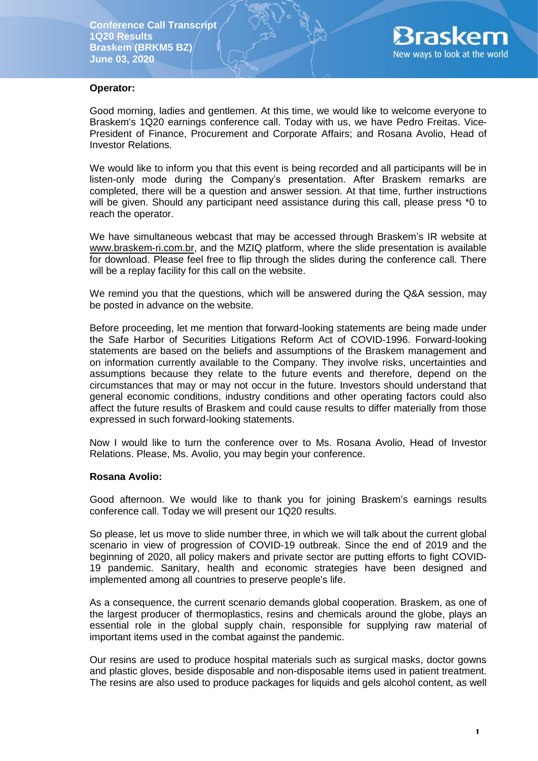

### **Operator:**

Good morning, ladies and gentlemen. At this time, we would like to welcome everyone to Braskem's 1Q20 earnings conference call. Today with us, we have Pedro Freitas. Vice-President of Finance, Procurement and Corporate Affairs; and Rosana Avolio, Head of Investor Relations.

We would like to inform you that this event is being recorded and all participants will be in listen-only mode during the Company's presentation. After Braskem remarks are completed, there will be a question and answer session. At that time, further instructions will be given. Should any participant need assistance during this call, please press \*0 to reach the operator.

We have simultaneous webcast that may be accessed through Braskem's IR website at [www.braskem-ri.com.br,](http://www.braskem-ri.com.br/) and the MZIQ platform, where the slide presentation is available for download. Please feel free to flip through the slides during the conference call. There will be a replay facility for this call on the website.

We remind you that the questions, which will be answered during the Q&A session, may be posted in advance on the website.

Before proceeding, let me mention that forward-looking statements are being made under the Safe Harbor of Securities Litigations Reform Act of COVID-1996. Forward-looking statements are based on the beliefs and assumptions of the Braskem management and on information currently available to the Company. They involve risks, uncertainties and assumptions because they relate to the future events and therefore, depend on the circumstances that may or may not occur in the future. Investors should understand that general economic conditions, industry conditions and other operating factors could also affect the future results of Braskem and could cause results to differ materially from those expressed in such forward-looking statements.

Now I would like to turn the conference over to Ms. Rosana Avolio, Head of Investor Relations. Please, Ms. Avolio, you may begin your conference.

#### **Rosana Avolio:**

Good afternoon. We would like to thank you for joining Braskem's earnings results conference call. Today we will present our 1Q20 results.

So please, let us move to slide number three, in which we will talk about the current global scenario in view of progression of COVID-19 outbreak. Since the end of 2019 and the beginning of 2020, all policy makers and private sector are putting efforts to fight COVID-19 pandemic. Sanitary, health and economic strategies have been designed and implemented among all countries to preserve people's life.

As a consequence, the current scenario demands global cooperation. Braskem, as one of the largest producer of thermoplastics, resins and chemicals around the globe, plays an essential role in the global supply chain, responsible for supplying raw material of important items used in the combat against the pandemic.

Our resins are used to produce hospital materials such as surgical masks, doctor gowns and plastic gloves, beside disposable and non-disposable items used in patient treatment. The resins are also used to produce packages for liquids and gels alcohol content, as well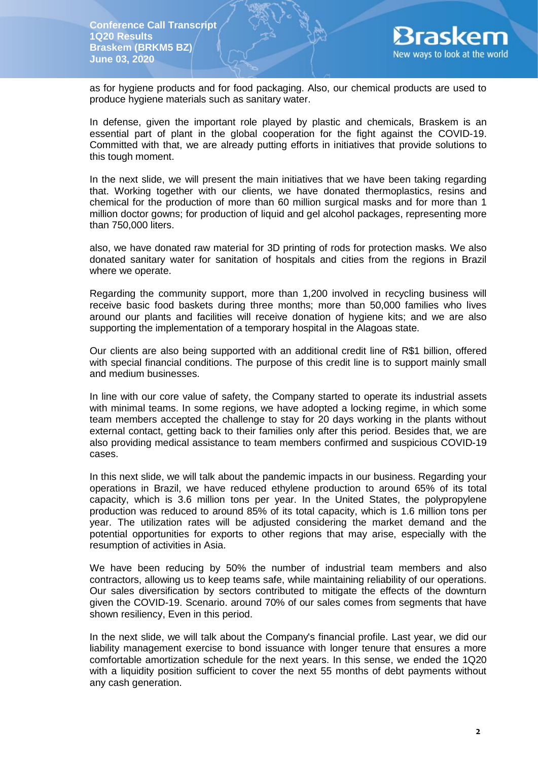

as for hygiene products and for food packaging. Also, our chemical products are used to produce hygiene materials such as sanitary water.

In defense, given the important role played by plastic and chemicals, Braskem is an essential part of plant in the global cooperation for the fight against the COVID-19. Committed with that, we are already putting efforts in initiatives that provide solutions to this tough moment.

In the next slide, we will present the main initiatives that we have been taking regarding that. Working together with our clients, we have donated thermoplastics, resins and chemical for the production of more than 60 million surgical masks and for more than 1 million doctor gowns; for production of liquid and gel alcohol packages, representing more than 750,000 liters.

also, we have donated raw material for 3D printing of rods for protection masks. We also donated sanitary water for sanitation of hospitals and cities from the regions in Brazil where we operate.

Regarding the community support, more than 1,200 involved in recycling business will receive basic food baskets during three months; more than 50,000 families who lives around our plants and facilities will receive donation of hygiene kits; and we are also supporting the implementation of a temporary hospital in the Alagoas state.

Our clients are also being supported with an additional credit line of R\$1 billion, offered with special financial conditions. The purpose of this credit line is to support mainly small and medium businesses.

In line with our core value of safety, the Company started to operate its industrial assets with minimal teams. In some regions, we have adopted a locking regime, in which some team members accepted the challenge to stay for 20 days working in the plants without external contact, getting back to their families only after this period. Besides that, we are also providing medical assistance to team members confirmed and suspicious COVID-19 cases.

In this next slide, we will talk about the pandemic impacts in our business. Regarding your operations in Brazil, we have reduced ethylene production to around 65% of its total capacity, which is 3.6 million tons per year. In the United States, the polypropylene production was reduced to around 85% of its total capacity, which is 1.6 million tons per year. The utilization rates will be adjusted considering the market demand and the potential opportunities for exports to other regions that may arise, especially with the resumption of activities in Asia.

We have been reducing by 50% the number of industrial team members and also contractors, allowing us to keep teams safe, while maintaining reliability of our operations. Our sales diversification by sectors contributed to mitigate the effects of the downturn given the COVID-19. Scenario. around 70% of our sales comes from segments that have shown resiliency, Even in this period.

In the next slide, we will talk about the Company's financial profile. Last year, we did our liability management exercise to bond issuance with longer tenure that ensures a more comfortable amortization schedule for the next years. In this sense, we ended the 1Q20 with a liquidity position sufficient to cover the next 55 months of debt payments without any cash generation.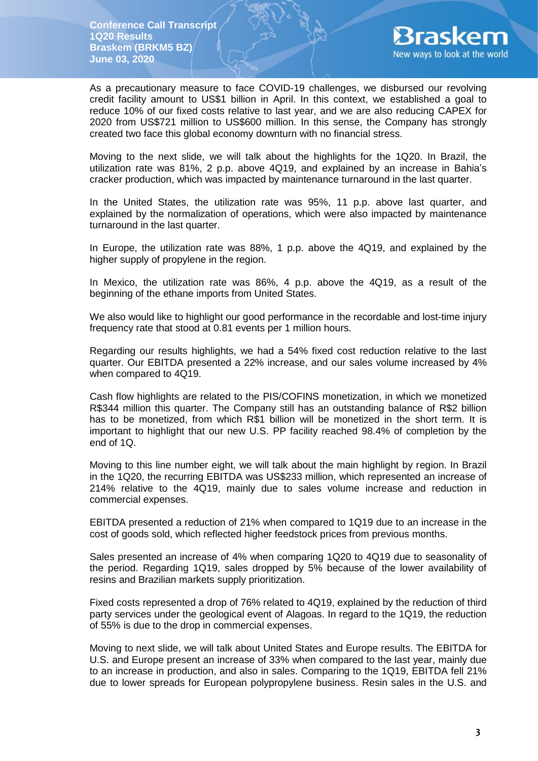

As a precautionary measure to face COVID-19 challenges, we disbursed our revolving credit facility amount to US\$1 billion in April. In this context, we established a goal to reduce 10% of our fixed costs relative to last year, and we are also reducing CAPEX for 2020 from US\$721 million to US\$600 million. In this sense, the Company has strongly created two face this global economy downturn with no financial stress.

Moving to the next slide, we will talk about the highlights for the 1Q20. In Brazil, the utilization rate was 81%, 2 p.p. above 4Q19, and explained by an increase in Bahia's cracker production, which was impacted by maintenance turnaround in the last quarter.

In the United States, the utilization rate was 95%, 11 p.p. above last quarter, and explained by the normalization of operations, which were also impacted by maintenance turnaround in the last quarter.

In Europe, the utilization rate was 88%, 1 p.p. above the 4Q19, and explained by the higher supply of propylene in the region.

In Mexico, the utilization rate was 86%, 4 p.p. above the 4Q19, as a result of the beginning of the ethane imports from United States.

We also would like to highlight our good performance in the recordable and lost-time injury frequency rate that stood at 0.81 events per 1 million hours.

Regarding our results highlights, we had a 54% fixed cost reduction relative to the last quarter. Our EBITDA presented a 22% increase, and our sales volume increased by 4% when compared to 4Q19.

Cash flow highlights are related to the PIS/COFINS monetization, in which we monetized R\$344 million this quarter. The Company still has an outstanding balance of R\$2 billion has to be monetized, from which R\$1 billion will be monetized in the short term. It is important to highlight that our new U.S. PP facility reached 98.4% of completion by the end of 1Q.

Moving to this line number eight, we will talk about the main highlight by region. In Brazil in the 1Q20, the recurring EBITDA was US\$233 million, which represented an increase of 214% relative to the 4Q19, mainly due to sales volume increase and reduction in commercial expenses.

EBITDA presented a reduction of 21% when compared to 1Q19 due to an increase in the cost of goods sold, which reflected higher feedstock prices from previous months.

Sales presented an increase of 4% when comparing 1Q20 to 4Q19 due to seasonality of the period. Regarding 1Q19, sales dropped by 5% because of the lower availability of resins and Brazilian markets supply prioritization.

Fixed costs represented a drop of 76% related to 4Q19, explained by the reduction of third party services under the geological event of Alagoas. In regard to the 1Q19, the reduction of 55% is due to the drop in commercial expenses.

Moving to next slide, we will talk about United States and Europe results. The EBITDA for U.S. and Europe present an increase of 33% when compared to the last year, mainly due to an increase in production, and also in sales. Comparing to the 1Q19, EBITDA fell 21% due to lower spreads for European polypropylene business. Resin sales in the U.S. and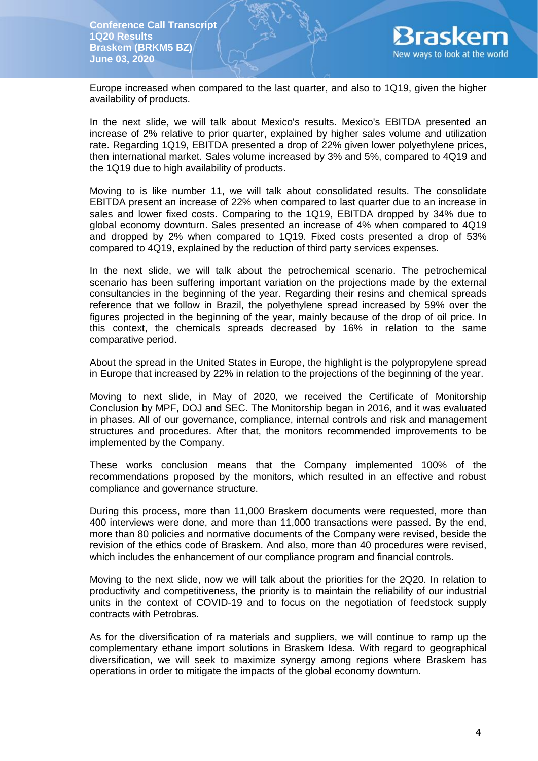

Europe increased when compared to the last quarter, and also to 1Q19, given the higher availability of products.

In the next slide, we will talk about Mexico's results. Mexico's EBITDA presented an increase of 2% relative to prior quarter, explained by higher sales volume and utilization rate. Regarding 1Q19, EBITDA presented a drop of 22% given lower polyethylene prices, then international market. Sales volume increased by 3% and 5%, compared to 4Q19 and the 1Q19 due to high availability of products.

Moving to is like number 11, we will talk about consolidated results. The consolidate EBITDA present an increase of 22% when compared to last quarter due to an increase in sales and lower fixed costs. Comparing to the 1Q19, EBITDA dropped by 34% due to global economy downturn. Sales presented an increase of 4% when compared to 4Q19 and dropped by 2% when compared to 1Q19. Fixed costs presented a drop of 53% compared to 4Q19, explained by the reduction of third party services expenses.

In the next slide, we will talk about the petrochemical scenario. The petrochemical scenario has been suffering important variation on the projections made by the external consultancies in the beginning of the year. Regarding their resins and chemical spreads reference that we follow in Brazil, the polyethylene spread increased by 59% over the figures projected in the beginning of the year, mainly because of the drop of oil price. In this context, the chemicals spreads decreased by 16% in relation to the same comparative period.

About the spread in the United States in Europe, the highlight is the polypropylene spread in Europe that increased by 22% in relation to the projections of the beginning of the year.

Moving to next slide, in May of 2020, we received the Certificate of Monitorship Conclusion by MPF, DOJ and SEC. The Monitorship began in 2016, and it was evaluated in phases. All of our governance, compliance, internal controls and risk and management structures and procedures. After that, the monitors recommended improvements to be implemented by the Company.

These works conclusion means that the Company implemented 100% of the recommendations proposed by the monitors, which resulted in an effective and robust compliance and governance structure.

During this process, more than 11,000 Braskem documents were requested, more than 400 interviews were done, and more than 11,000 transactions were passed. By the end, more than 80 policies and normative documents of the Company were revised, beside the revision of the ethics code of Braskem. And also, more than 40 procedures were revised, which includes the enhancement of our compliance program and financial controls.

Moving to the next slide, now we will talk about the priorities for the 2Q20. In relation to productivity and competitiveness, the priority is to maintain the reliability of our industrial units in the context of COVID-19 and to focus on the negotiation of feedstock supply contracts with Petrobras.

As for the diversification of ra materials and suppliers, we will continue to ramp up the complementary ethane import solutions in Braskem Idesa. With regard to geographical diversification, we will seek to maximize synergy among regions where Braskem has operations in order to mitigate the impacts of the global economy downturn.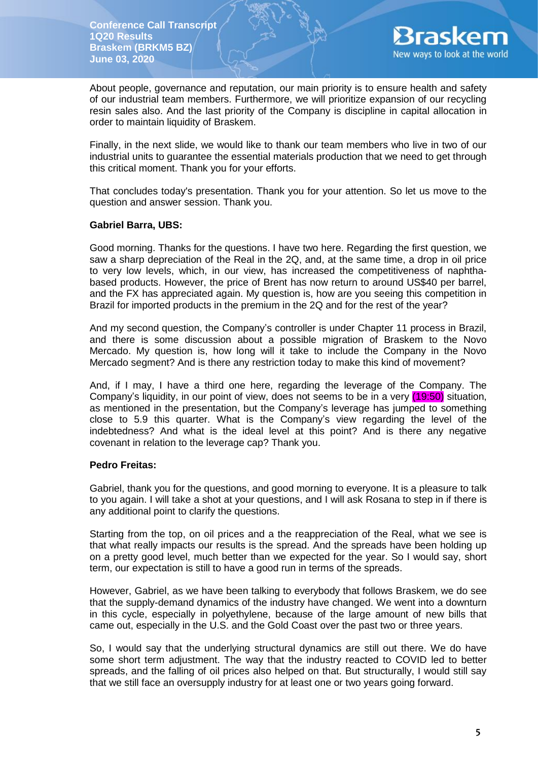

About people, governance and reputation, our main priority is to ensure health and safety of our industrial team members. Furthermore, we will prioritize expansion of our recycling resin sales also. And the last priority of the Company is discipline in capital allocation in order to maintain liquidity of Braskem.

Finally, in the next slide, we would like to thank our team members who live in two of our industrial units to guarantee the essential materials production that we need to get through this critical moment. Thank you for your efforts.

That concludes today's presentation. Thank you for your attention. So let us move to the question and answer session. Thank you.

### **Gabriel Barra, UBS:**

Good morning. Thanks for the questions. I have two here. Regarding the first question, we saw a sharp depreciation of the Real in the 2Q, and, at the same time, a drop in oil price to very low levels, which, in our view, has increased the competitiveness of naphthabased products. However, the price of Brent has now return to around US\$40 per barrel, and the FX has appreciated again. My question is, how are you seeing this competition in Brazil for imported products in the premium in the 2Q and for the rest of the year?

And my second question, the Company's controller is under Chapter 11 process in Brazil, and there is some discussion about a possible migration of Braskem to the Novo Mercado. My question is, how long will it take to include the Company in the Novo Mercado segment? And is there any restriction today to make this kind of movement?

And, if I may, I have a third one here, regarding the leverage of the Company. The Company's liquidity, in our point of view, does not seems to be in a very (19:50) situation, as mentioned in the presentation, but the Company's leverage has jumped to something close to 5.9 this quarter. What is the Company's view regarding the level of the indebtedness? And what is the ideal level at this point? And is there any negative covenant in relation to the leverage cap? Thank you.

#### **Pedro Freitas:**

Gabriel, thank you for the questions, and good morning to everyone. It is a pleasure to talk to you again. I will take a shot at your questions, and I will ask Rosana to step in if there is any additional point to clarify the questions.

Starting from the top, on oil prices and a the reappreciation of the Real, what we see is that what really impacts our results is the spread. And the spreads have been holding up on a pretty good level, much better than we expected for the year. So I would say, short term, our expectation is still to have a good run in terms of the spreads.

However, Gabriel, as we have been talking to everybody that follows Braskem, we do see that the supply-demand dynamics of the industry have changed. We went into a downturn in this cycle, especially in polyethylene, because of the large amount of new bills that came out, especially in the U.S. and the Gold Coast over the past two or three years.

So, I would say that the underlying structural dynamics are still out there. We do have some short term adjustment. The way that the industry reacted to COVID led to better spreads, and the falling of oil prices also helped on that. But structurally, I would still say that we still face an oversupply industry for at least one or two years going forward.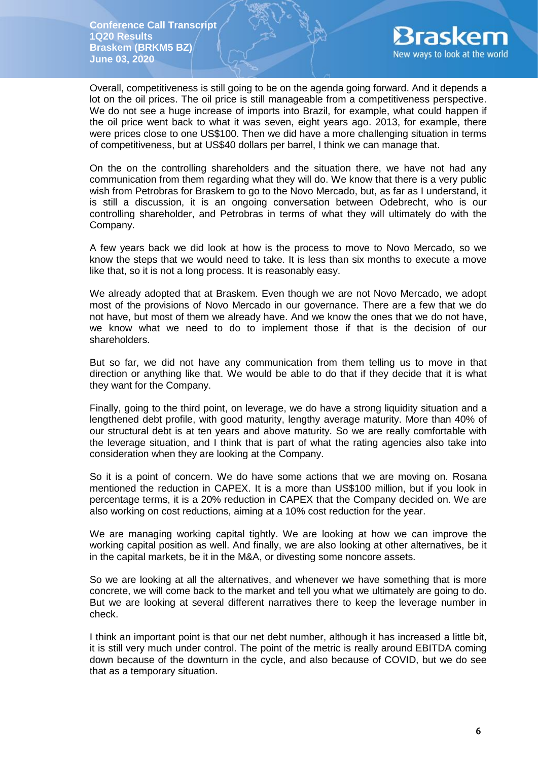

Overall, competitiveness is still going to be on the agenda going forward. And it depends a lot on the oil prices. The oil price is still manageable from a competitiveness perspective. We do not see a huge increase of imports into Brazil, for example, what could happen if the oil price went back to what it was seven, eight years ago. 2013, for example, there were prices close to one US\$100. Then we did have a more challenging situation in terms of competitiveness, but at US\$40 dollars per barrel, I think we can manage that.

On the on the controlling shareholders and the situation there, we have not had any communication from them regarding what they will do. We know that there is a very public wish from Petrobras for Braskem to go to the Novo Mercado, but, as far as I understand, it is still a discussion, it is an ongoing conversation between Odebrecht, who is our controlling shareholder, and Petrobras in terms of what they will ultimately do with the Company.

A few years back we did look at how is the process to move to Novo Mercado, so we know the steps that we would need to take. It is less than six months to execute a move like that, so it is not a long process. It is reasonably easy.

We already adopted that at Braskem. Even though we are not Novo Mercado, we adopt most of the provisions of Novo Mercado in our governance. There are a few that we do not have, but most of them we already have. And we know the ones that we do not have, we know what we need to do to implement those if that is the decision of our shareholders.

But so far, we did not have any communication from them telling us to move in that direction or anything like that. We would be able to do that if they decide that it is what they want for the Company.

Finally, going to the third point, on leverage, we do have a strong liquidity situation and a lengthened debt profile, with good maturity, lengthy average maturity. More than 40% of our structural debt is at ten years and above maturity. So we are really comfortable with the leverage situation, and I think that is part of what the rating agencies also take into consideration when they are looking at the Company.

So it is a point of concern. We do have some actions that we are moving on. Rosana mentioned the reduction in CAPEX. It is a more than US\$100 million, but if you look in percentage terms, it is a 20% reduction in CAPEX that the Company decided on. We are also working on cost reductions, aiming at a 10% cost reduction for the year.

We are managing working capital tightly. We are looking at how we can improve the working capital position as well. And finally, we are also looking at other alternatives, be it in the capital markets, be it in the M&A, or divesting some noncore assets.

So we are looking at all the alternatives, and whenever we have something that is more concrete, we will come back to the market and tell you what we ultimately are going to do. But we are looking at several different narratives there to keep the leverage number in check.

I think an important point is that our net debt number, although it has increased a little bit, it is still very much under control. The point of the metric is really around EBITDA coming down because of the downturn in the cycle, and also because of COVID, but we do see that as a temporary situation.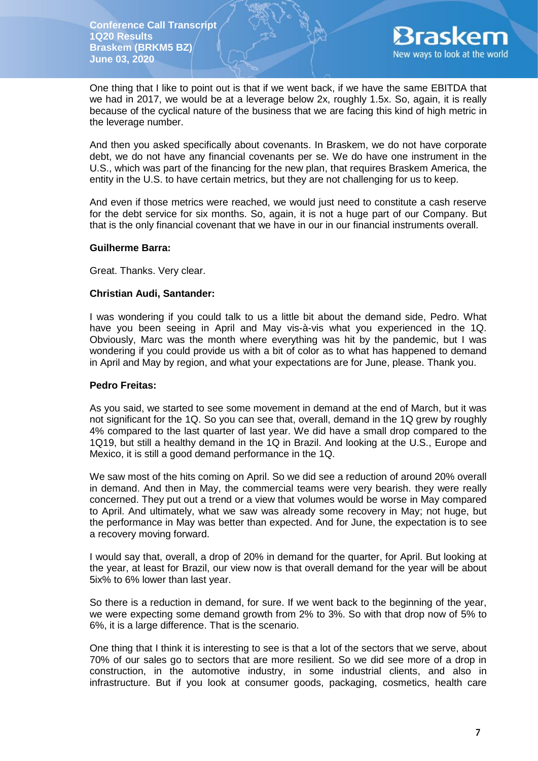

One thing that I like to point out is that if we went back, if we have the same EBITDA that we had in 2017, we would be at a leverage below 2x, roughly 1.5x. So, again, it is really because of the cyclical nature of the business that we are facing this kind of high metric in the leverage number.

And then you asked specifically about covenants. In Braskem, we do not have corporate debt, we do not have any financial covenants per se. We do have one instrument in the U.S., which was part of the financing for the new plan, that requires Braskem America, the entity in the U.S. to have certain metrics, but they are not challenging for us to keep.

And even if those metrics were reached, we would just need to constitute a cash reserve for the debt service for six months. So, again, it is not a huge part of our Company. But that is the only financial covenant that we have in our in our financial instruments overall.

### **Guilherme Barra:**

Great. Thanks. Very clear.

### **Christian Audi, Santander:**

I was wondering if you could talk to us a little bit about the demand side, Pedro. What have you been seeing in April and May vis-à-vis what you experienced in the 1Q. Obviously, Marc was the month where everything was hit by the pandemic, but I was wondering if you could provide us with a bit of color as to what has happened to demand in April and May by region, and what your expectations are for June, please. Thank you.

# **Pedro Freitas:**

As you said, we started to see some movement in demand at the end of March, but it was not significant for the 1Q. So you can see that, overall, demand in the 1Q grew by roughly 4% compared to the last quarter of last year. We did have a small drop compared to the 1Q19, but still a healthy demand in the 1Q in Brazil. And looking at the U.S., Europe and Mexico, it is still a good demand performance in the 1Q.

We saw most of the hits coming on April. So we did see a reduction of around 20% overall in demand. And then in May, the commercial teams were very bearish. they were really concerned. They put out a trend or a view that volumes would be worse in May compared to April. And ultimately, what we saw was already some recovery in May; not huge, but the performance in May was better than expected. And for June, the expectation is to see a recovery moving forward.

I would say that, overall, a drop of 20% in demand for the quarter, for April. But looking at the year, at least for Brazil, our view now is that overall demand for the year will be about 5ix% to 6% lower than last year.

So there is a reduction in demand, for sure. If we went back to the beginning of the year, we were expecting some demand growth from 2% to 3%. So with that drop now of 5% to 6%, it is a large difference. That is the scenario.

One thing that I think it is interesting to see is that a lot of the sectors that we serve, about 70% of our sales go to sectors that are more resilient. So we did see more of a drop in construction, in the automotive industry, in some industrial clients, and also in infrastructure. But if you look at consumer goods, packaging, cosmetics, health care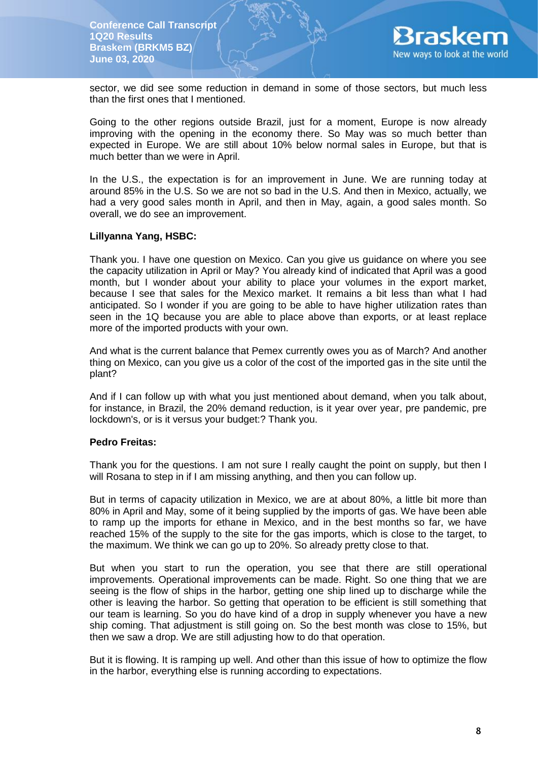

sector, we did see some reduction in demand in some of those sectors, but much less than the first ones that I mentioned.

Going to the other regions outside Brazil, just for a moment, Europe is now already improving with the opening in the economy there. So May was so much better than expected in Europe. We are still about 10% below normal sales in Europe, but that is much better than we were in April.

In the U.S., the expectation is for an improvement in June. We are running today at around 85% in the U.S. So we are not so bad in the U.S. And then in Mexico, actually, we had a very good sales month in April, and then in May, again, a good sales month. So overall, we do see an improvement.

#### **Lillyanna Yang, HSBC:**

Thank you. I have one question on Mexico. Can you give us guidance on where you see the capacity utilization in April or May? You already kind of indicated that April was a good month, but I wonder about your ability to place your volumes in the export market, because I see that sales for the Mexico market. It remains a bit less than what I had anticipated. So I wonder if you are going to be able to have higher utilization rates than seen in the 1Q because you are able to place above than exports, or at least replace more of the imported products with your own.

And what is the current balance that Pemex currently owes you as of March? And another thing on Mexico, can you give us a color of the cost of the imported gas in the site until the plant?

And if I can follow up with what you just mentioned about demand, when you talk about, for instance, in Brazil, the 20% demand reduction, is it year over year, pre pandemic, pre lockdown's, or is it versus your budget:? Thank you.

#### **Pedro Freitas:**

Thank you for the questions. I am not sure I really caught the point on supply, but then I will Rosana to step in if I am missing anything, and then you can follow up.

But in terms of capacity utilization in Mexico, we are at about 80%, a little bit more than 80% in April and May, some of it being supplied by the imports of gas. We have been able to ramp up the imports for ethane in Mexico, and in the best months so far, we have reached 15% of the supply to the site for the gas imports, which is close to the target, to the maximum. We think we can go up to 20%. So already pretty close to that.

But when you start to run the operation, you see that there are still operational improvements. Operational improvements can be made. Right. So one thing that we are seeing is the flow of ships in the harbor, getting one ship lined up to discharge while the other is leaving the harbor. So getting that operation to be efficient is still something that our team is learning. So you do have kind of a drop in supply whenever you have a new ship coming. That adjustment is still going on. So the best month was close to 15%, but then we saw a drop. We are still adjusting how to do that operation.

But it is flowing. It is ramping up well. And other than this issue of how to optimize the flow in the harbor, everything else is running according to expectations.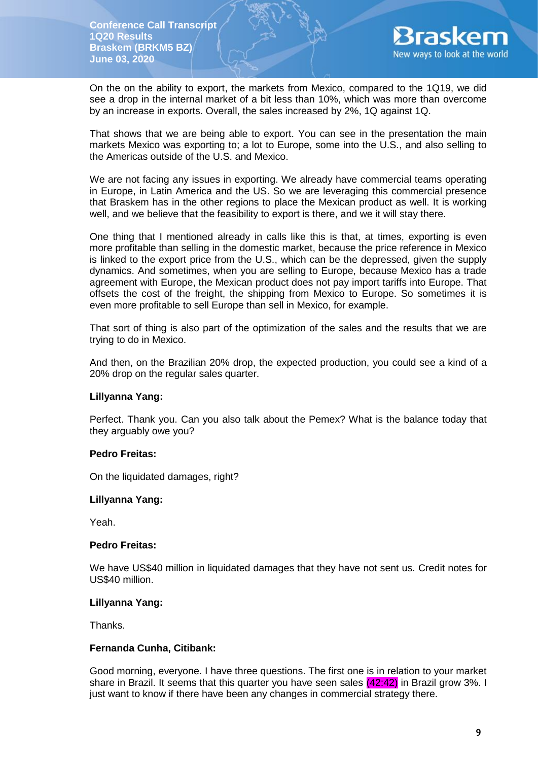

On the on the ability to export, the markets from Mexico, compared to the 1Q19, we did see a drop in the internal market of a bit less than 10%, which was more than overcome by an increase in exports. Overall, the sales increased by 2%, 1Q against 1Q.

That shows that we are being able to export. You can see in the presentation the main markets Mexico was exporting to; a lot to Europe, some into the U.S., and also selling to the Americas outside of the U.S. and Mexico.

We are not facing any issues in exporting. We already have commercial teams operating in Europe, in Latin America and the US. So we are leveraging this commercial presence that Braskem has in the other regions to place the Mexican product as well. It is working well, and we believe that the feasibility to export is there, and we it will stay there.

One thing that I mentioned already in calls like this is that, at times, exporting is even more profitable than selling in the domestic market, because the price reference in Mexico is linked to the export price from the U.S., which can be the depressed, given the supply dynamics. And sometimes, when you are selling to Europe, because Mexico has a trade agreement with Europe, the Mexican product does not pay import tariffs into Europe. That offsets the cost of the freight, the shipping from Mexico to Europe. So sometimes it is even more profitable to sell Europe than sell in Mexico, for example.

That sort of thing is also part of the optimization of the sales and the results that we are trying to do in Mexico.

And then, on the Brazilian 20% drop, the expected production, you could see a kind of a 20% drop on the regular sales quarter.

#### **Lillyanna Yang:**

Perfect. Thank you. Can you also talk about the Pemex? What is the balance today that they arguably owe you?

#### **Pedro Freitas:**

On the liquidated damages, right?

#### **Lillyanna Yang:**

Yeah.

#### **Pedro Freitas:**

We have US\$40 million in liquidated damages that they have not sent us. Credit notes for US\$40 million.

### **Lillyanna Yang:**

Thanks.

### **Fernanda Cunha, Citibank:**

Good morning, everyone. I have three questions. The first one is in relation to your market share in Brazil. It seems that this quarter you have seen sales (42:42) in Brazil grow 3%. I just want to know if there have been any changes in commercial strategy there.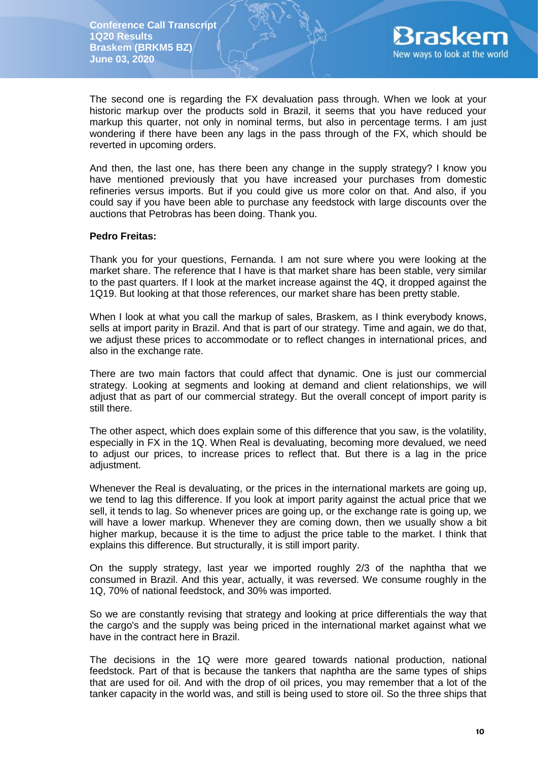

The second one is regarding the FX devaluation pass through. When we look at your historic markup over the products sold in Brazil, it seems that you have reduced your markup this quarter, not only in nominal terms, but also in percentage terms. I am just wondering if there have been any lags in the pass through of the FX, which should be reverted in upcoming orders.

And then, the last one, has there been any change in the supply strategy? I know you have mentioned previously that you have increased your purchases from domestic refineries versus imports. But if you could give us more color on that. And also, if you could say if you have been able to purchase any feedstock with large discounts over the auctions that Petrobras has been doing. Thank you.

#### **Pedro Freitas:**

Thank you for your questions, Fernanda. I am not sure where you were looking at the market share. The reference that I have is that market share has been stable, very similar to the past quarters. If I look at the market increase against the 4Q, it dropped against the 1Q19. But looking at that those references, our market share has been pretty stable.

When I look at what you call the markup of sales. Braskem, as I think everybody knows, sells at import parity in Brazil. And that is part of our strategy. Time and again, we do that, we adjust these prices to accommodate or to reflect changes in international prices, and also in the exchange rate.

There are two main factors that could affect that dynamic. One is just our commercial strategy. Looking at segments and looking at demand and client relationships, we will adjust that as part of our commercial strategy. But the overall concept of import parity is still there.

The other aspect, which does explain some of this difference that you saw, is the volatility, especially in FX in the 1Q. When Real is devaluating, becoming more devalued, we need to adjust our prices, to increase prices to reflect that. But there is a lag in the price adjustment.

Whenever the Real is devaluating, or the prices in the international markets are going up, we tend to lag this difference. If you look at import parity against the actual price that we sell, it tends to lag. So whenever prices are going up, or the exchange rate is going up, we will have a lower markup. Whenever they are coming down, then we usually show a bit higher markup, because it is the time to adjust the price table to the market. I think that explains this difference. But structurally, it is still import parity.

On the supply strategy, last year we imported roughly 2/3 of the naphtha that we consumed in Brazil. And this year, actually, it was reversed. We consume roughly in the 1Q, 70% of national feedstock, and 30% was imported.

So we are constantly revising that strategy and looking at price differentials the way that the cargo's and the supply was being priced in the international market against what we have in the contract here in Brazil.

The decisions in the 1Q were more geared towards national production, national feedstock. Part of that is because the tankers that naphtha are the same types of ships that are used for oil. And with the drop of oil prices, you may remember that a lot of the tanker capacity in the world was, and still is being used to store oil. So the three ships that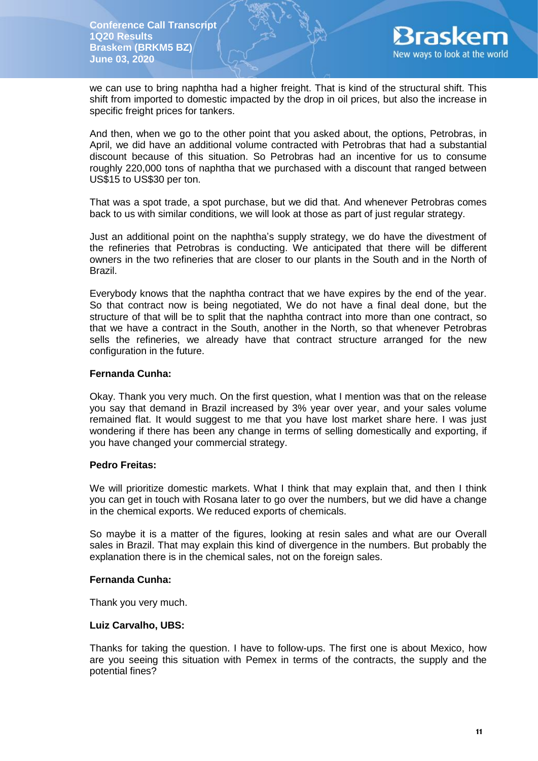

we can use to bring naphtha had a higher freight. That is kind of the structural shift. This shift from imported to domestic impacted by the drop in oil prices, but also the increase in specific freight prices for tankers.

And then, when we go to the other point that you asked about, the options, Petrobras, in April, we did have an additional volume contracted with Petrobras that had a substantial discount because of this situation. So Petrobras had an incentive for us to consume roughly 220,000 tons of naphtha that we purchased with a discount that ranged between US\$15 to US\$30 per ton.

That was a spot trade, a spot purchase, but we did that. And whenever Petrobras comes back to us with similar conditions, we will look at those as part of just regular strategy.

Just an additional point on the naphtha's supply strategy, we do have the divestment of the refineries that Petrobras is conducting. We anticipated that there will be different owners in the two refineries that are closer to our plants in the South and in the North of Brazil.

Everybody knows that the naphtha contract that we have expires by the end of the year. So that contract now is being negotiated, We do not have a final deal done, but the structure of that will be to split that the naphtha contract into more than one contract, so that we have a contract in the South, another in the North, so that whenever Petrobras sells the refineries, we already have that contract structure arranged for the new configuration in the future.

### **Fernanda Cunha:**

Okay. Thank you very much. On the first question, what I mention was that on the release you say that demand in Brazil increased by 3% year over year, and your sales volume remained flat. It would suggest to me that you have lost market share here. I was just wondering if there has been any change in terms of selling domestically and exporting, if you have changed your commercial strategy.

#### **Pedro Freitas:**

We will prioritize domestic markets. What I think that may explain that, and then I think you can get in touch with Rosana later to go over the numbers, but we did have a change in the chemical exports. We reduced exports of chemicals.

So maybe it is a matter of the figures, looking at resin sales and what are our Overall sales in Brazil. That may explain this kind of divergence in the numbers. But probably the explanation there is in the chemical sales, not on the foreign sales.

#### **Fernanda Cunha:**

Thank you very much.

#### **Luiz Carvalho, UBS:**

Thanks for taking the question. I have to follow-ups. The first one is about Mexico, how are you seeing this situation with Pemex in terms of the contracts, the supply and the potential fines?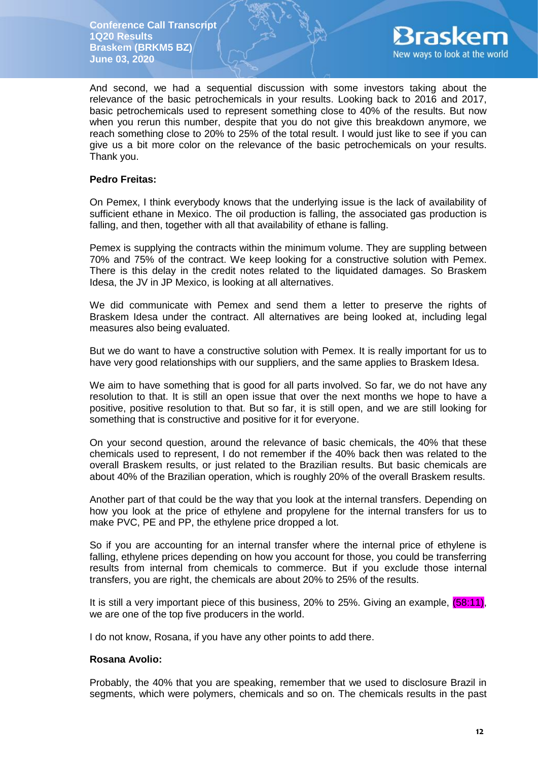

And second, we had a sequential discussion with some investors taking about the relevance of the basic petrochemicals in your results. Looking back to 2016 and 2017, basic petrochemicals used to represent something close to 40% of the results. But now when you rerun this number, despite that you do not give this breakdown anymore, we reach something close to 20% to 25% of the total result. I would just like to see if you can give us a bit more color on the relevance of the basic petrochemicals on your results. Thank you.

### **Pedro Freitas:**

On Pemex, I think everybody knows that the underlying issue is the lack of availability of sufficient ethane in Mexico. The oil production is falling, the associated gas production is falling, and then, together with all that availability of ethane is falling.

Pemex is supplying the contracts within the minimum volume. They are suppling between 70% and 75% of the contract. We keep looking for a constructive solution with Pemex. There is this delay in the credit notes related to the liquidated damages. So Braskem Idesa, the JV in JP Mexico, is looking at all alternatives.

We did communicate with Pemex and send them a letter to preserve the rights of Braskem Idesa under the contract. All alternatives are being looked at, including legal measures also being evaluated.

But we do want to have a constructive solution with Pemex. It is really important for us to have very good relationships with our suppliers, and the same applies to Braskem Idesa.

We aim to have something that is good for all parts involved. So far, we do not have any resolution to that. It is still an open issue that over the next months we hope to have a positive, positive resolution to that. But so far, it is still open, and we are still looking for something that is constructive and positive for it for everyone.

On your second question, around the relevance of basic chemicals, the 40% that these chemicals used to represent, I do not remember if the 40% back then was related to the overall Braskem results, or just related to the Brazilian results. But basic chemicals are about 40% of the Brazilian operation, which is roughly 20% of the overall Braskem results.

Another part of that could be the way that you look at the internal transfers. Depending on how you look at the price of ethylene and propylene for the internal transfers for us to make PVC, PE and PP, the ethylene price dropped a lot.

So if you are accounting for an internal transfer where the internal price of ethylene is falling, ethylene prices depending on how you account for those, you could be transferring results from internal from chemicals to commerce. But if you exclude those internal transfers, you are right, the chemicals are about 20% to 25% of the results.

It is still a very important piece of this business, 20% to 25%. Giving an example, (58:11), we are one of the top five producers in the world.

I do not know, Rosana, if you have any other points to add there.

#### **Rosana Avolio:**

Probably, the 40% that you are speaking, remember that we used to disclosure Brazil in segments, which were polymers, chemicals and so on. The chemicals results in the past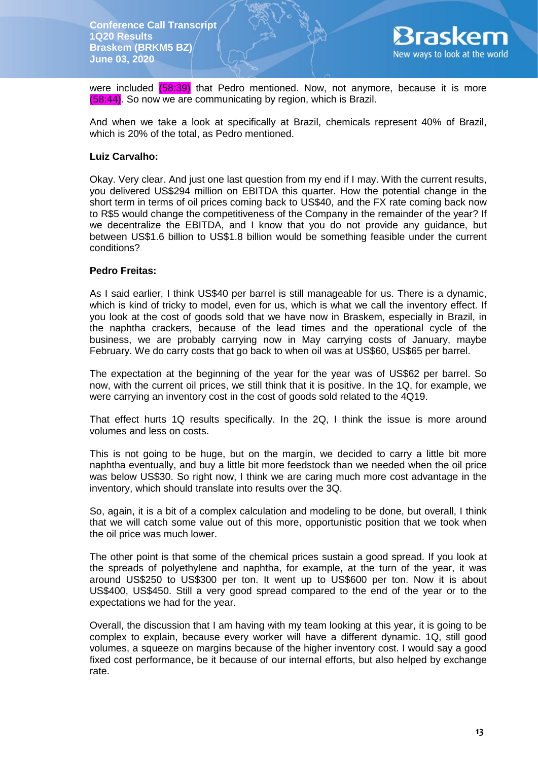

were included (58:39) that Pedro mentioned. Now, not anymore, because it is more (58:44). So now we are communicating by region, which is Brazil.

And when we take a look at specifically at Brazil, chemicals represent 40% of Brazil, which is 20% of the total, as Pedro mentioned.

# **Luiz Carvalho:**

Okay. Very clear. And just one last question from my end if I may. With the current results, you delivered US\$294 million on EBITDA this quarter. How the potential change in the short term in terms of oil prices coming back to US\$40, and the FX rate coming back now to R\$5 would change the competitiveness of the Company in the remainder of the year? If we decentralize the EBITDA, and I know that you do not provide any guidance, but between US\$1.6 billion to US\$1.8 billion would be something feasible under the current conditions?

#### **Pedro Freitas:**

As I said earlier, I think US\$40 per barrel is still manageable for us. There is a dynamic, which is kind of tricky to model, even for us, which is what we call the inventory effect. If you look at the cost of goods sold that we have now in Braskem, especially in Brazil, in the naphtha crackers, because of the lead times and the operational cycle of the business, we are probably carrying now in May carrying costs of January, maybe February. We do carry costs that go back to when oil was at US\$60, US\$65 per barrel.

The expectation at the beginning of the year for the year was of US\$62 per barrel. So now, with the current oil prices, we still think that it is positive. In the 1Q, for example, we were carrying an inventory cost in the cost of goods sold related to the 4Q19.

That effect hurts 1Q results specifically. In the 2Q, I think the issue is more around volumes and less on costs.

This is not going to be huge, but on the margin, we decided to carry a little bit more naphtha eventually, and buy a little bit more feedstock than we needed when the oil price was below US\$30. So right now, I think we are caring much more cost advantage in the inventory, which should translate into results over the 3Q.

So, again, it is a bit of a complex calculation and modeling to be done, but overall, I think that we will catch some value out of this more, opportunistic position that we took when the oil price was much lower.

The other point is that some of the chemical prices sustain a good spread. If you look at the spreads of polyethylene and naphtha, for example, at the turn of the year, it was around US\$250 to US\$300 per ton. It went up to US\$600 per ton. Now it is about US\$400, US\$450. Still a very good spread compared to the end of the year or to the expectations we had for the year.

Overall, the discussion that I am having with my team looking at this year, it is going to be complex to explain, because every worker will have a different dynamic. 1Q, still good volumes, a squeeze on margins because of the higher inventory cost. I would say a good fixed cost performance, be it because of our internal efforts, but also helped by exchange rate.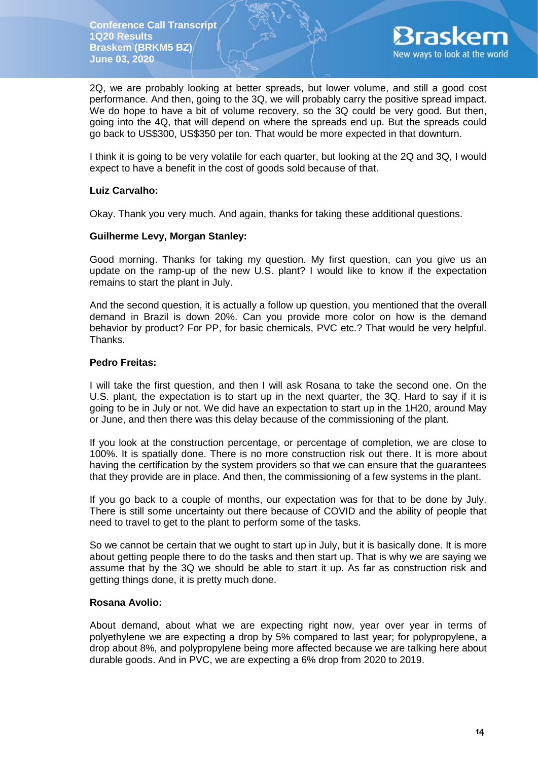

2Q, we are probably looking at better spreads, but lower volume, and still a good cost performance. And then, going to the 3Q, we will probably carry the positive spread impact. We do hope to have a bit of volume recovery, so the 3Q could be very good. But then, going into the 4Q, that will depend on where the spreads end up. But the spreads could go back to US\$300, US\$350 per ton. That would be more expected in that downturn.

I think it is going to be very volatile for each quarter, but looking at the 2Q and 3Q, I would expect to have a benefit in the cost of goods sold because of that.

### **Luiz Carvalho:**

Okay. Thank you very much. And again, thanks for taking these additional questions.

### **Guilherme Levy, Morgan Stanley:**

Good morning. Thanks for taking my question. My first question, can you give us an update on the ramp-up of the new U.S. plant? I would like to know if the expectation remains to start the plant in July.

And the second question, it is actually a follow up question, you mentioned that the overall demand in Brazil is down 20%. Can you provide more color on how is the demand behavior by product? For PP, for basic chemicals, PVC etc.? That would be very helpful. Thanks.

## **Pedro Freitas:**

I will take the first question, and then I will ask Rosana to take the second one. On the U.S. plant, the expectation is to start up in the next quarter, the 3Q. Hard to say if it is going to be in July or not. We did have an expectation to start up in the 1H20, around May or June, and then there was this delay because of the commissioning of the plant.

If you look at the construction percentage, or percentage of completion, we are close to 100%. It is spatially done. There is no more construction risk out there. It is more about having the certification by the system providers so that we can ensure that the guarantees that they provide are in place. And then, the commissioning of a few systems in the plant.

If you go back to a couple of months, our expectation was for that to be done by July. There is still some uncertainty out there because of COVID and the ability of people that need to travel to get to the plant to perform some of the tasks.

So we cannot be certain that we ought to start up in July, but it is basically done. It is more about getting people there to do the tasks and then start up. That is why we are saying we assume that by the 3Q we should be able to start it up. As far as construction risk and getting things done, it is pretty much done.

#### **Rosana Avolio:**

About demand, about what we are expecting right now, year over year in terms of polyethylene we are expecting a drop by 5% compared to last year; for polypropylene, a drop about 8%, and polypropylene being more affected because we are talking here about durable goods. And in PVC, we are expecting a 6% drop from 2020 to 2019.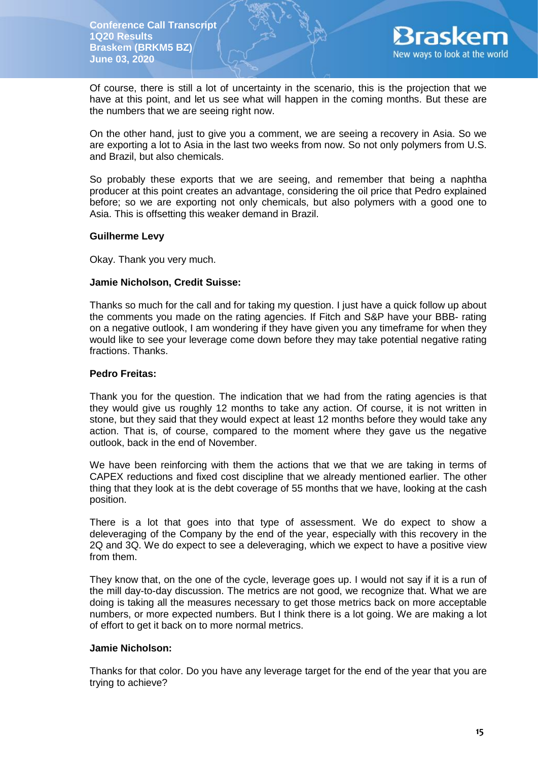

Of course, there is still a lot of uncertainty in the scenario, this is the projection that we have at this point, and let us see what will happen in the coming months. But these are the numbers that we are seeing right now.

On the other hand, just to give you a comment, we are seeing a recovery in Asia. So we are exporting a lot to Asia in the last two weeks from now. So not only polymers from U.S. and Brazil, but also chemicals.

So probably these exports that we are seeing, and remember that being a naphtha producer at this point creates an advantage, considering the oil price that Pedro explained before; so we are exporting not only chemicals, but also polymers with a good one to Asia. This is offsetting this weaker demand in Brazil.

### **Guilherme Levy**

Okay. Thank you very much.

### **Jamie Nicholson, Credit Suisse:**

Thanks so much for the call and for taking my question. I just have a quick follow up about the comments you made on the rating agencies. If Fitch and S&P have your BBB- rating on a negative outlook, I am wondering if they have given you any timeframe for when they would like to see your leverage come down before they may take potential negative rating fractions. Thanks.

### **Pedro Freitas:**

Thank you for the question. The indication that we had from the rating agencies is that they would give us roughly 12 months to take any action. Of course, it is not written in stone, but they said that they would expect at least 12 months before they would take any action. That is, of course, compared to the moment where they gave us the negative outlook, back in the end of November.

We have been reinforcing with them the actions that we that we are taking in terms of CAPEX reductions and fixed cost discipline that we already mentioned earlier. The other thing that they look at is the debt coverage of 55 months that we have, looking at the cash position.

There is a lot that goes into that type of assessment. We do expect to show a deleveraging of the Company by the end of the year, especially with this recovery in the 2Q and 3Q. We do expect to see a deleveraging, which we expect to have a positive view from them.

They know that, on the one of the cycle, leverage goes up. I would not say if it is a run of the mill day-to-day discussion. The metrics are not good, we recognize that. What we are doing is taking all the measures necessary to get those metrics back on more acceptable numbers, or more expected numbers. But I think there is a lot going. We are making a lot of effort to get it back on to more normal metrics.

#### **Jamie Nicholson:**

Thanks for that color. Do you have any leverage target for the end of the year that you are trying to achieve?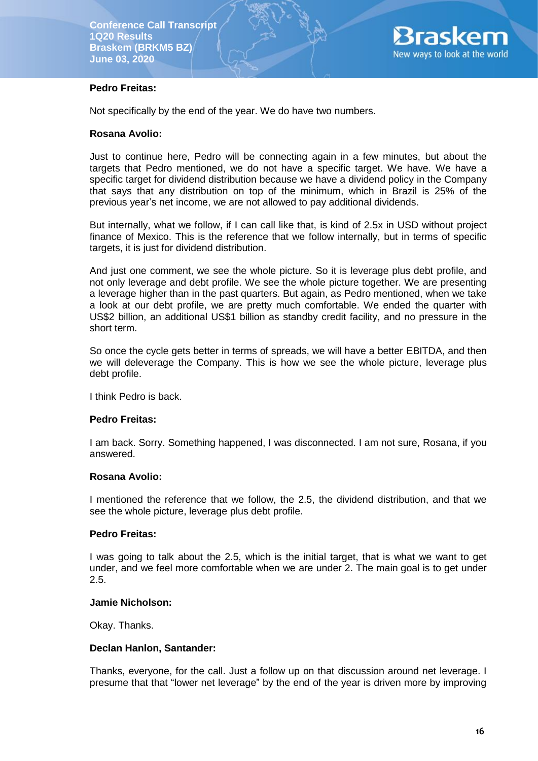

# **Pedro Freitas:**

Not specifically by the end of the year. We do have two numbers.

## **Rosana Avolio:**

Just to continue here, Pedro will be connecting again in a few minutes, but about the targets that Pedro mentioned, we do not have a specific target. We have. We have a specific target for dividend distribution because we have a dividend policy in the Company that says that any distribution on top of the minimum, which in Brazil is 25% of the previous year's net income, we are not allowed to pay additional dividends.

But internally, what we follow, if I can call like that, is kind of 2.5x in USD without project finance of Mexico. This is the reference that we follow internally, but in terms of specific targets, it is just for dividend distribution.

And just one comment, we see the whole picture. So it is leverage plus debt profile, and not only leverage and debt profile. We see the whole picture together. We are presenting a leverage higher than in the past quarters. But again, as Pedro mentioned, when we take a look at our debt profile, we are pretty much comfortable. We ended the quarter with US\$2 billion, an additional US\$1 billion as standby credit facility, and no pressure in the short term.

So once the cycle gets better in terms of spreads, we will have a better EBITDA, and then we will deleverage the Company. This is how we see the whole picture, leverage plus debt profile.

I think Pedro is back.

# **Pedro Freitas:**

I am back. Sorry. Something happened, I was disconnected. I am not sure, Rosana, if you answered.

#### **Rosana Avolio:**

I mentioned the reference that we follow, the 2.5, the dividend distribution, and that we see the whole picture, leverage plus debt profile.

#### **Pedro Freitas:**

I was going to talk about the 2.5, which is the initial target, that is what we want to get under, and we feel more comfortable when we are under 2. The main goal is to get under 2.5.

#### **Jamie Nicholson:**

Okay. Thanks.

### **Declan Hanlon, Santander:**

Thanks, everyone, for the call. Just a follow up on that discussion around net leverage. I presume that that "lower net leverage" by the end of the year is driven more by improving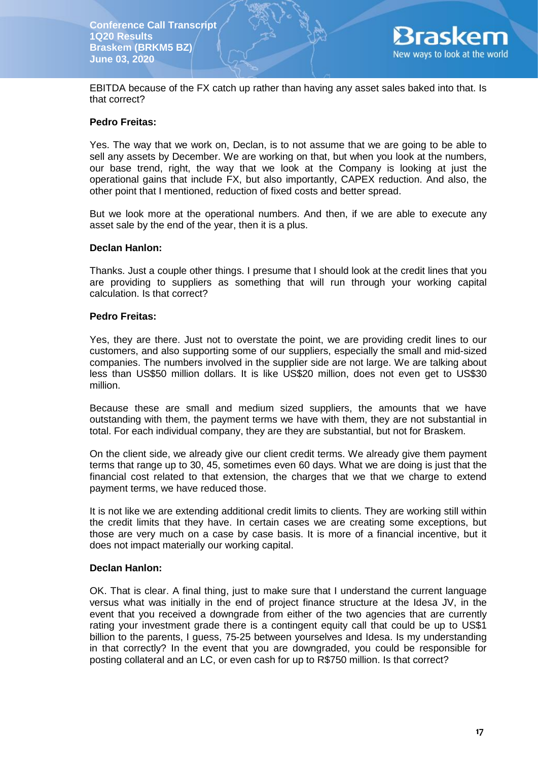

EBITDA because of the FX catch up rather than having any asset sales baked into that. Is that correct?

### **Pedro Freitas:**

Yes. The way that we work on, Declan, is to not assume that we are going to be able to sell any assets by December. We are working on that, but when you look at the numbers, our base trend, right, the way that we look at the Company is looking at just the operational gains that include FX, but also importantly, CAPEX reduction. And also, the other point that I mentioned, reduction of fixed costs and better spread.

But we look more at the operational numbers. And then, if we are able to execute any asset sale by the end of the year, then it is a plus.

#### **Declan Hanlon:**

Thanks. Just a couple other things. I presume that I should look at the credit lines that you are providing to suppliers as something that will run through your working capital calculation. Is that correct?

### **Pedro Freitas:**

Yes, they are there. Just not to overstate the point, we are providing credit lines to our customers, and also supporting some of our suppliers, especially the small and mid-sized companies. The numbers involved in the supplier side are not large. We are talking about less than US\$50 million dollars. It is like US\$20 million, does not even get to US\$30 million.

Because these are small and medium sized suppliers, the amounts that we have outstanding with them, the payment terms we have with them, they are not substantial in total. For each individual company, they are they are substantial, but not for Braskem.

On the client side, we already give our client credit terms. We already give them payment terms that range up to 30, 45, sometimes even 60 days. What we are doing is just that the financial cost related to that extension, the charges that we that we charge to extend payment terms, we have reduced those.

It is not like we are extending additional credit limits to clients. They are working still within the credit limits that they have. In certain cases we are creating some exceptions, but those are very much on a case by case basis. It is more of a financial incentive, but it does not impact materially our working capital.

#### **Declan Hanlon:**

OK. That is clear. A final thing, just to make sure that I understand the current language versus what was initially in the end of project finance structure at the Idesa JV, in the event that you received a downgrade from either of the two agencies that are currently rating your investment grade there is a contingent equity call that could be up to US\$1 billion to the parents, I guess, 75-25 between yourselves and Idesa. Is my understanding in that correctly? In the event that you are downgraded, you could be responsible for posting collateral and an LC, or even cash for up to R\$750 million. Is that correct?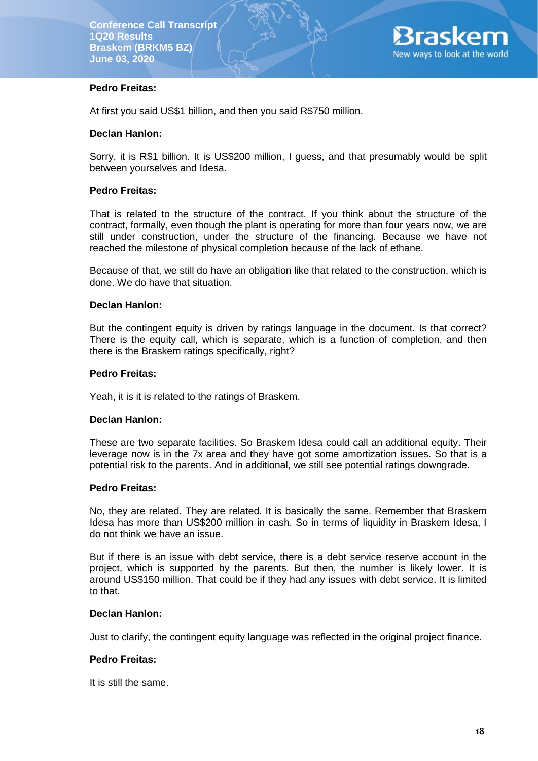

# **Pedro Freitas:**

At first you said US\$1 billion, and then you said R\$750 million.

#### **Declan Hanlon:**

Sorry, it is R\$1 billion. It is US\$200 million, I guess, and that presumably would be split between yourselves and Idesa.

#### **Pedro Freitas:**

That is related to the structure of the contract. If you think about the structure of the contract, formally, even though the plant is operating for more than four years now, we are still under construction, under the structure of the financing. Because we have not reached the milestone of physical completion because of the lack of ethane.

Because of that, we still do have an obligation like that related to the construction, which is done. We do have that situation.

#### **Declan Hanlon:**

But the contingent equity is driven by ratings language in the document. Is that correct? There is the equity call, which is separate, which is a function of completion, and then there is the Braskem ratings specifically, right?

#### **Pedro Freitas:**

Yeah, it is it is related to the ratings of Braskem.

#### **Declan Hanlon:**

These are two separate facilities. So Braskem Idesa could call an additional equity. Their leverage now is in the 7x area and they have got some amortization issues. So that is a potential risk to the parents. And in additional, we still see potential ratings downgrade.

#### **Pedro Freitas:**

No, they are related. They are related. It is basically the same. Remember that Braskem Idesa has more than US\$200 million in cash. So in terms of liquidity in Braskem Idesa, I do not think we have an issue.

But if there is an issue with debt service, there is a debt service reserve account in the project, which is supported by the parents. But then, the number is likely lower. It is around US\$150 million. That could be if they had any issues with debt service. It is limited to that.

#### **Declan Hanlon:**

Just to clarify, the contingent equity language was reflected in the original project finance.

#### **Pedro Freitas:**

It is still the same.